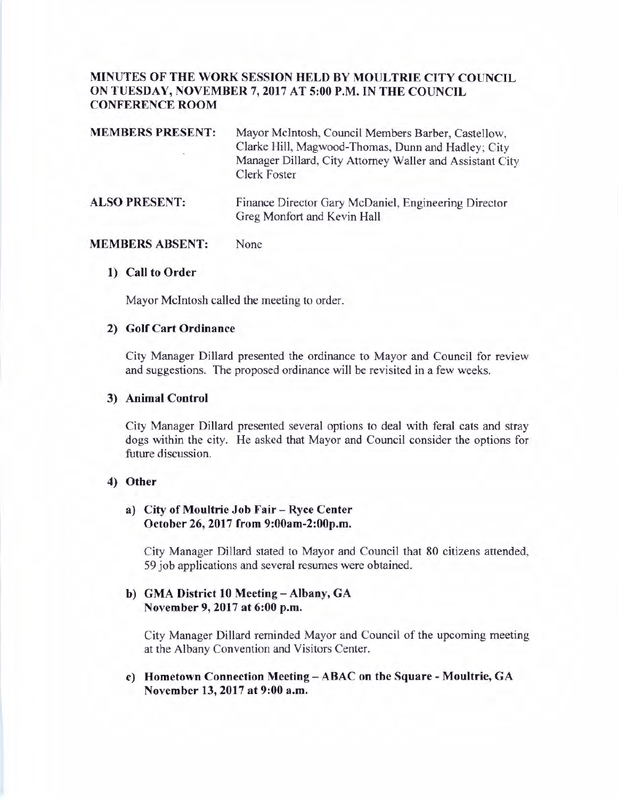# **MINUTES OF THE WORK SESSION HELD BY MOULTRIE CITY COUNCIL ON TUESDAY, NOVEMBER** 7, **2017 AT 5:00 P.M. IN THE COUNCIL CONFERENCE ROOM**

| <b>MEMBERS PRESENT:</b> | Mayor McIntosh, Council Members Barber, Castellow,<br>Clarke Hill, Magwood-Thomas, Dunn and Hadley; City<br>Manager Dillard, City Attorney Waller and Assistant City<br><b>Clerk Foster</b> |
|-------------------------|---------------------------------------------------------------------------------------------------------------------------------------------------------------------------------------------|
| <b>ALSO PRESENT:</b>    | Finance Director Gary McDaniel, Engineering Director                                                                                                                                        |

Greg Monfort and Kevin Hall

#### **MEMBERS ABSENT:**  None

#### **1) Call to Order**

Mayor McIntosh called the meeting to order.

## **2) Golf Cart Ordinance**

City Manager Dillard presented the ordinance to Mayor and Council for review and suggestions. The proposed ordinance will be revisited in a few weeks.

#### **3) Animal Control**

City Manager Dillard presented several options to deal with feral cats and stray dogs within the city. He asked that Mayor and Council consider the options for future discussion.

#### **4) Other**

### **a) City of Moultrie Job Fair** - **Ryce Center October 26, 2017 from 9:00am-2:00p.m.**

City Manager Dillard stated to Mayor and Council that 80 citizens attended, 59 job applications and several resumes were obtained.

## **b) GMA District 10 Meeting- Albany, GA November 9, 2017 at 6:00 p.m.**

City Manager Dillard reminded Mayor and Council of the upcoming meeting at the Albany Convention and Visitors Center.

## **c) Hometown Connection Meeting** - **ABAC on the Square** - **Moultrie, GA November 13, 2017 at 9:00 a.m.**